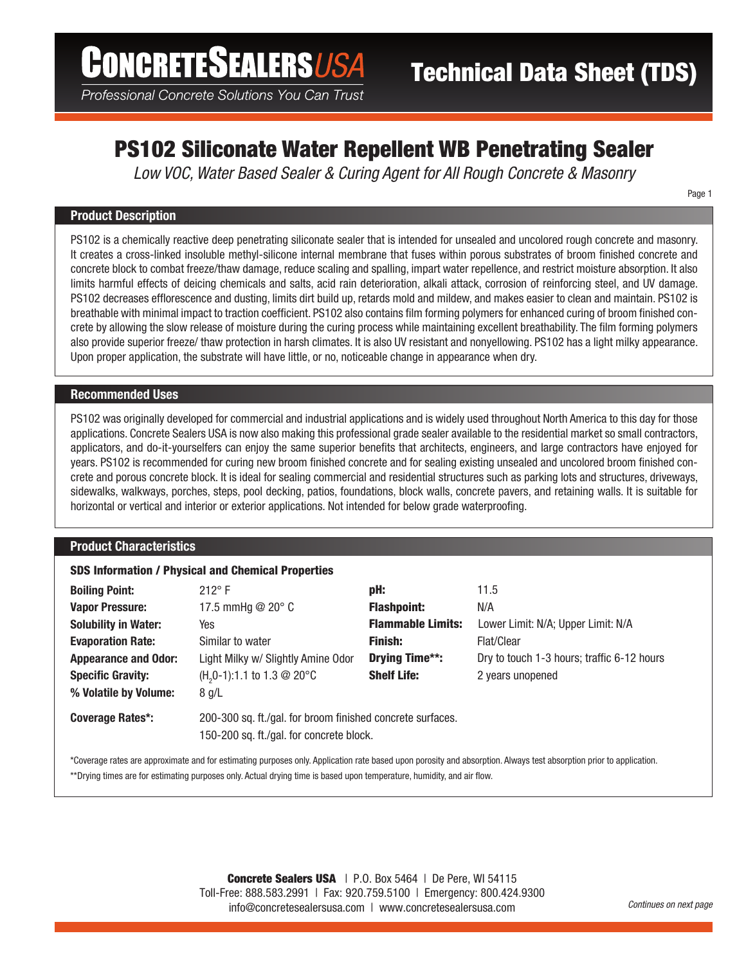Professional Concrete Solutions You Can Trust

# PS102 Siliconate Water Repellent WB Penetrating Sealer

*Low VOC, Water Based Sealer & Curing Agent for All Rough Concrete & Masonry*

Page 1

## Product Description

PS102 is a chemically reactive deep penetrating siliconate sealer that is intended for unsealed and uncolored rough concrete and masonry. It creates a cross-linked insoluble methyl-silicone internal membrane that fuses within porous substrates of broom finished concrete and concrete block to combat freeze/thaw damage, reduce scaling and spalling, impart water repellence, and restrict moisture absorption. It also limits harmful effects of deicing chemicals and salts, acid rain deterioration, alkali attack, corrosion of reinforcing steel, and UV damage. PS102 decreases efflorescence and dusting, limits dirt build up, retards mold and mildew, and makes easier to clean and maintain. PS102 is breathable with minimal impact to traction coefficient. PS102 also contains film forming polymers for enhanced curing of broom finished concrete by allowing the slow release of moisture during the curing process while maintaining excellent breathability. The film forming polymers also provide superior freeze/ thaw protection in harsh climates. It is also UV resistant and nonyellowing. PS102 has a light milky appearance. Upon proper application, the substrate will have little, or no, noticeable change in appearance when dry.

# Recommended Uses

PS102 was originally developed for commercial and industrial applications and is widely used throughout North America to this day for those applications. Concrete Sealers USA is now also making this professional grade sealer available to the residential market so small contractors, applicators, and do-it-yourselfers can enjoy the same superior benefits that architects, engineers, and large contractors have enjoyed for years. PS102 is recommended for curing new broom finished concrete and for sealing existing unsealed and uncolored broom finished concrete and porous concrete block. It is ideal for sealing commercial and residential structures such as parking lots and structures, driveways, sidewalks, walkways, porches, steps, pool decking, patios, foundations, block walls, concrete pavers, and retaining walls. It is suitable for horizontal or vertical and interior or exterior applications. Not intended for below grade waterproofing.

## Product Characteristics

# SDS Information / Physical and Chemical Properties

| <b>Boiling Point:</b>       | $212^{\circ}$ F                                                                                        | pH:                      | 11.5                                       |  |
|-----------------------------|--------------------------------------------------------------------------------------------------------|--------------------------|--------------------------------------------|--|
| <b>Vapor Pressure:</b>      | 17.5 mmHg $@$ 20 $^{\circ}$ C                                                                          | <b>Flashpoint:</b>       | N/A                                        |  |
| <b>Solubility in Water:</b> | Yes                                                                                                    | <b>Flammable Limits:</b> | Lower Limit: N/A; Upper Limit: N/A         |  |
| <b>Evaporation Rate:</b>    | Similar to water                                                                                       | <b>Finish:</b>           | Flat/Clear                                 |  |
| <b>Appearance and Odor:</b> | Light Milky w/ Slightly Amine Odor                                                                     | Drying Time**:           | Dry to touch 1-3 hours; traffic 6-12 hours |  |
| <b>Specific Gravity:</b>    | $(H20-1):1.1$ to 1.3 @ 20°C                                                                            | <b>Shelf Life:</b>       | 2 years unopened                           |  |
| % Volatile by Volume:       | 8 g/L                                                                                                  |                          |                                            |  |
| Coverage Rates*:            | 200-300 sq. ft./gal. for broom finished concrete surfaces.<br>150-200 sq. ft./gal. for concrete block. |                          |                                            |  |
|                             |                                                                                                        |                          |                                            |  |
|                             |                                                                                                        |                          |                                            |  |

\*Coverage rates are approximate and for estimating purposes only. Application rate based upon porosity and absorption. Always test absorption prior to application. \*\*Drying times are for estimating purposes only. Actual drying time is based upon temperature, humidity, and air flow.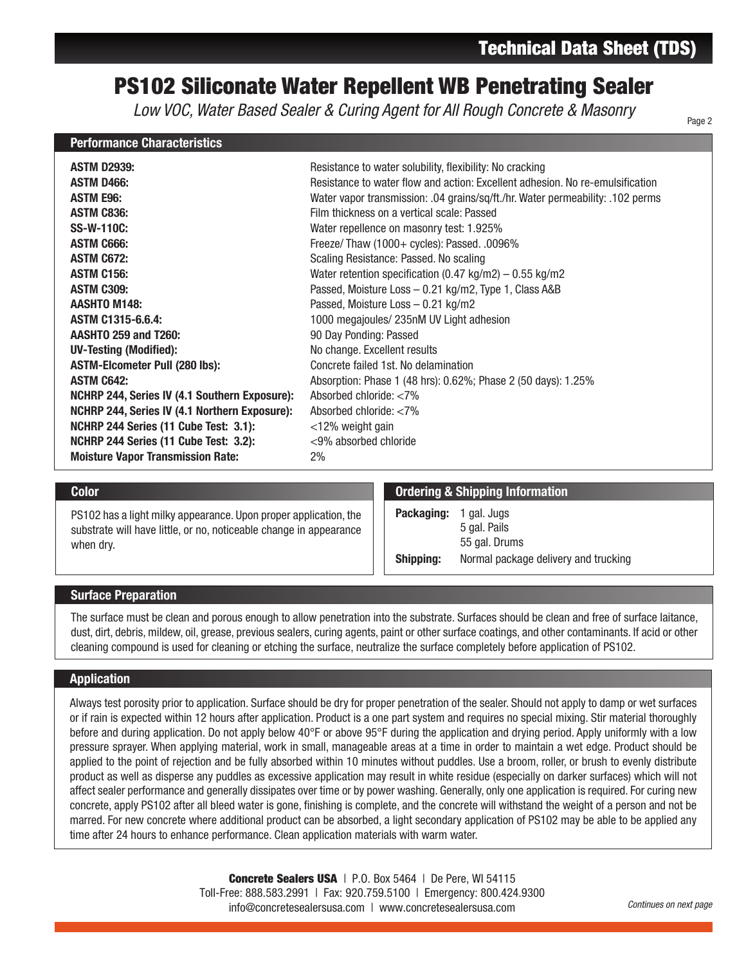# PS102 Siliconate Water Repellent WB Penetrating Sealer

*Low VOC, Water Based Sealer & Curing Agent for All Rough Concrete & Masonry*

### Performance Characteristics

Page 2

| <b>ASTM D2939:</b>                                   | Resistance to water solubility, flexibility: No cracking                       |
|------------------------------------------------------|--------------------------------------------------------------------------------|
| <b>ASTM D466:</b>                                    | Resistance to water flow and action: Excellent adhesion. No re-emulsification  |
| <b>ASTM E96:</b>                                     | Water vapor transmission: .04 grains/sq/ft./hr. Water permeability: .102 perms |
| <b>ASTM C836:</b>                                    | Film thickness on a vertical scale: Passed                                     |
|                                                      |                                                                                |
| <b>SS-W-110C:</b>                                    | Water repellence on masonry test: 1.925%                                       |
| <b>ASTM C666:</b>                                    | Freeze/Thaw (1000+ cycles): Passed. .0096%                                     |
| <b>ASTM C672:</b>                                    | Scaling Resistance: Passed. No scaling                                         |
| <b>ASTM C156:</b>                                    | Water retention specification (0.47 kg/m2) $-$ 0.55 kg/m2                      |
| <b>ASTM C309:</b>                                    | Passed, Moisture Loss - 0.21 kg/m2, Type 1, Class A&B                          |
| <b>AASHTO M148:</b>                                  | Passed, Moisture Loss - 0.21 kg/m2                                             |
| ASTM C1315-6.6.4:                                    | 1000 megajoules/ 235nM UV Light adhesion                                       |
| <b>AASHTO 259 and T260:</b>                          | 90 Day Ponding: Passed                                                         |
| <b>UV-Testing (Modified):</b>                        | No change. Excellent results                                                   |
| <b>ASTM-Elcometer Pull (280 lbs):</b>                | Concrete failed 1st. No delamination                                           |
| <b>ASTM C642:</b>                                    | Absorption: Phase 1 (48 hrs): 0.62%; Phase 2 (50 days): 1.25%                  |
| NCHRP 244, Series IV (4.1 Southern Exposure):        | Absorbed chloride: $< 7\%$                                                     |
| <b>NCHRP 244, Series IV (4.1 Northern Exposure):</b> | Absorbed chloride: $<$ 7%                                                      |
| NCHRP 244 Series (11 Cube Test: 3.1):                | $<$ 12% weight gain                                                            |
| NCHRP 244 Series (11 Cube Test: 3.2):                | <9% absorbed chloride                                                          |
| <b>Moisture Vapor Transmission Rate:</b>             | 2%                                                                             |

PS102 has a light milky appearance. Upon proper application, the substrate will have little, or no, noticeable change in appearance when dry.

### **Color** Color Color Color Color Color Color Color Color Color Color Color Color Color Color Color Color Color Color Color Color Color Color Color Color Color Color Color Color Color Color Color Color Color Color Color Colo

Packaging: 1 gal. Jugs 5 gal. Pails 55 gal. Drums **Shipping:** Normal package delivery and trucking

### Surface Preparation

The surface must be clean and porous enough to allow penetration into the substrate. Surfaces should be clean and free of surface laitance, dust, dirt, debris, mildew, oil, grease, previous sealers, curing agents, paint or other surface coatings, and other contaminants. If acid or other cleaning compound is used for cleaning or etching the surface, neutralize the surface completely before application of PS102.

## Application

Always test porosity prior to application. Surface should be dry for proper penetration of the sealer. Should not apply to damp or wet surfaces or if rain is expected within 12 hours after application. Product is a one part system and requires no special mixing. Stir material thoroughly before and during application. Do not apply below 40°F or above 95°F during the application and drying period. Apply uniformly with a low pressure sprayer. When applying material, work in small, manageable areas at a time in order to maintain a wet edge. Product should be applied to the point of rejection and be fully absorbed within 10 minutes without puddles. Use a broom, roller, or brush to evenly distribute product as well as disperse any puddles as excessive application may result in white residue (especially on darker surfaces) which will not affect sealer performance and generally dissipates over time or by power washing. Generally, only one application is required. For curing new concrete, apply PS102 after all bleed water is gone, finishing is complete, and the concrete will withstand the weight of a person and not be marred. For new concrete where additional product can be absorbed, a light secondary application of PS102 may be able to be applied any time after 24 hours to enhance performance. Clean application materials with warm water.

> Concrete Sealers USA | P.O. Box 5464 | De Pere, WI 54115 Toll-Free: 888.583.2991 | Fax: 920.759.5100 | Emergency: 800.424.9300 info@concretesealersusa.com | www.concretesealersusa.com